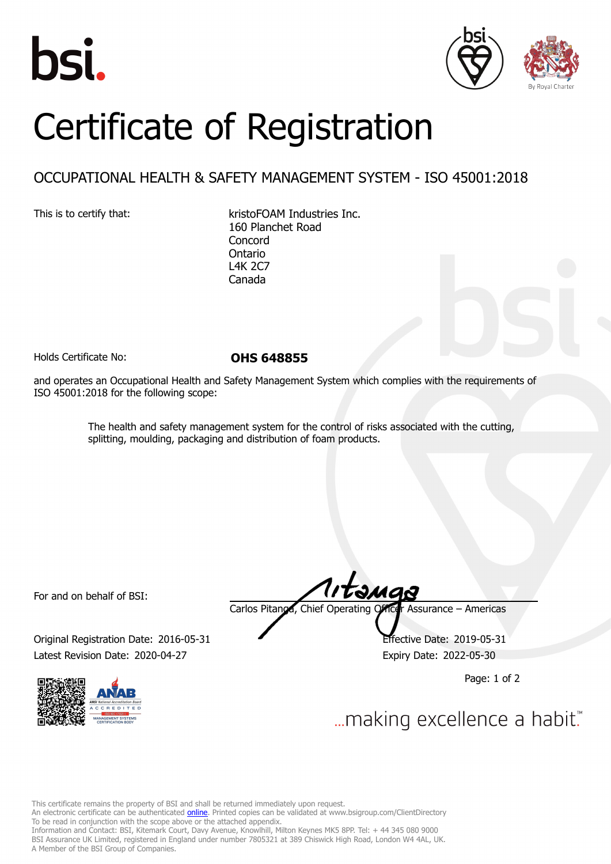





## Certificate of Registration

## OCCUPATIONAL HEALTH & SAFETY MANAGEMENT SYSTEM - ISO 45001:2018

This is to certify that: kristoFOAM Industries Inc. 160 Planchet Road **Concord** Ontario L4K 2C7 Canada

Holds Certificate No: **OHS 648855**

and operates an Occupational Health and Safety Management System which complies with the requirements of ISO 45001:2018 for the following scope:

> The health and safety management system for the control of risks associated with the cutting, splitting, moulding, packaging and distribution of foam products.

For and on behalf of BSI:

Original Registration Date: 2016-05-31 Effective Date: 2019-05-31 Latest Revision Date: 2020-04-27 Expiry Date: 2022-05-30



tamas Carlos Pitanga, Chief Operating Officer Assurance – Americas

Page: 1 of 2

... making excellence a habit."

This certificate remains the property of BSI and shall be returned immediately upon request. An electronic certificate can be authenticated *[online](https://pgplus.bsigroup.com/CertificateValidation/CertificateValidator.aspx?CertificateNumber=OHS+648855&ReIssueDate=27%2f04%2f2020&Template=inc)*. Printed copies can be validated at www.bsigroup.com/ClientDirectory To be read in conjunction with the scope above or the attached appendix. Information and Contact: BSI, Kitemark Court, Davy Avenue, Knowlhill, Milton Keynes MK5 8PP. Tel: + 44 345 080 9000 BSI Assurance UK Limited, registered in England under number 7805321 at 389 Chiswick High Road, London W4 4AL, UK. A Member of the BSI Group of Companies.